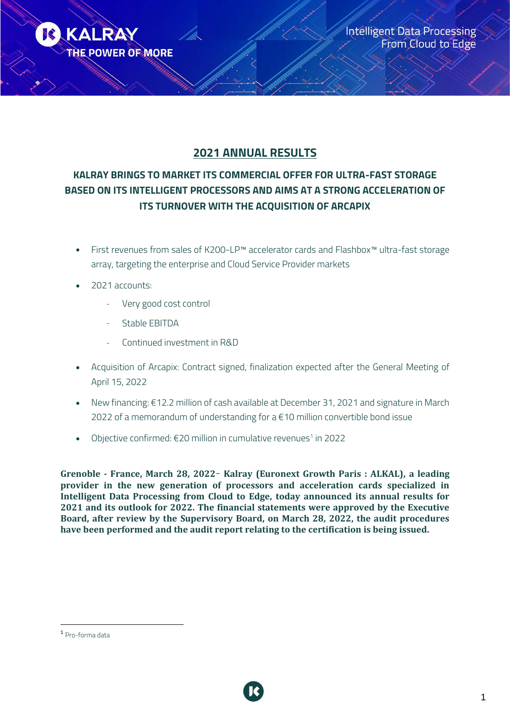

# **2021 ANNUAL RESULTS**

# **KALRAY BRINGS TO MARKET ITS COMMERCIAL OFFER FOR ULTRA-FAST STORAGE BASED ON ITS INTELLIGENT PROCESSORS AND AIMS AT A STRONG ACCELERATION OF ITS TURNOVER WITH THE ACQUISITION OF ARCAPIX**

- First revenues from sales of K200-LP™ accelerator cards and Flashbox™ ultra-fast storage array, targeting the enterprise and Cloud Service Provider markets
- 2021 accounts:
	- Very good cost control
	- Stable EBITDA
	- Continued investment in R&D
- Acquisition of Arcapix: Contract signed, finalization expected after the General Meeting of April 15, 2022
- New financing: €12.2 million of cash available at December 31, 2021 and signature in March 2022 of a memorandum of understanding for a €10 million convertible bond issue
- Objective confirmed:  $\epsilon$ 20 million in cumulative revenues $^1$  in 2022

**Grenoble - France, March 28, 2022**– **Kalray (Euronext Growth Paris : ALKAL), a leading provider in the new generation of processors and acceleration cards specialized in Intelligent Data Processing from Cloud to Edge, today announced its annual results for 2021 and its outlook for 2022. The financial statements were approved by the Executive Board, after review by the Supervisory Board, on March 28, 2022, the audit procedures have been performed and the audit report relating to the certification is being issued.** 



<sup>1</sup> Pro-forma data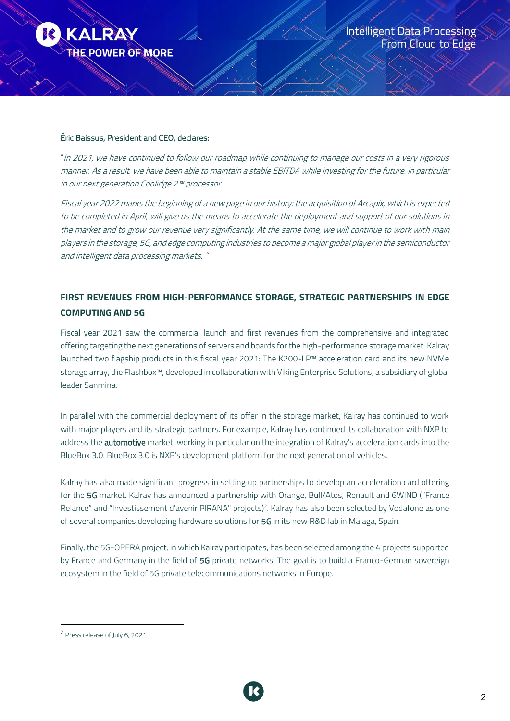

### Éric Baissus, President and CEO, declares:

"In 2021, we have continued to follow our roadmap while continuing to manage our costs in a very rigorous manner. As a result, we have been able to maintain a stable EBITDA while investing for the future, in particular in our next generation Coolidge 2™ processor.

Fiscal year 2022 marks the beginning of a new page in our history: the acquisition of Arcapix, which is expected to be completed in April, will give us the means to accelerate the deployment and support of our solutions in the market and to grow our revenue very significantly. At the same time, we will continue to work with main players in the storage, 5G, and edge computing industries to become a major global player in the semiconductor and intelligent data processing markets. "

## **FIRST REVENUES FROM HIGH-PERFORMANCE STORAGE, STRATEGIC PARTNERSHIPS IN EDGE COMPUTING AND 5G**

Fiscal year 2021 saw the commercial launch and first revenues from the comprehensive and integrated offering targeting the next generations of servers and boards for the high-performance storage market. Kalray launched two flagship products in this fiscal year 2021: The K200-LP™ acceleration card and its new NVMe storage array, the Flashbox™, developed in collaboration with Viking Enterprise Solutions, a subsidiary of global leader Sanmina.

In parallel with the commercial deployment of its offer in the storage market, Kalray has continued to work with major players and its strategic partners. For example, Kalray has continued its collaboration with NXP to address the **automotive** market, working in particular on the integration of Kalray's acceleration cards into the BlueBox 3.0. BlueBox 3.0 is NXP's development platform for the next generation of vehicles.

Kalray has also made significant progress in setting up partnerships to develop an acceleration card offering for the 5G market. Kalray has announced a partnership with Orange, Bull/Atos, Renault and 6WIND ("France Relance" and "Investissement d'avenir PIRANA" projects)<sup>2</sup>. Kalray has also been selected by Vodafone as one of several companies developing hardware solutions for 5G in its new R&D lab in Malaga, Spain.

Finally, the 5G-OPERA project, in which Kalray participates, has been selected among the 4 projects supported by France and Germany in the field of 5G private networks. The goal is to build a Franco-German sovereign ecosystem in the field of 5G private telecommunications networks in Europe.



<sup>2</sup> Press release of July 6, 2021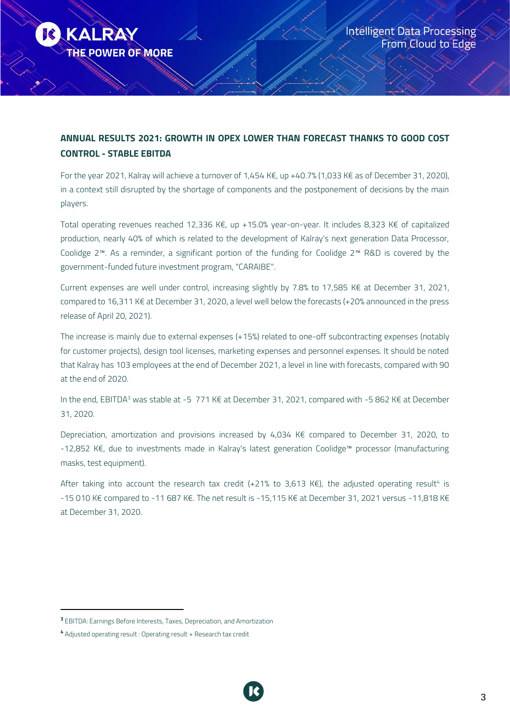

# **ANNUAL RESULTS 2021: GROWTH IN OPEX LOWER THAN FORECAST THANKS TO GOOD COST CONTROL - STABLE EBITDA**

For the year 2021, Kalray will achieve a turnover of 1,454 K€, up +40.7% (1,033 K€ as of December 31, 2020), in a context still disrupted by the shortage of components and the postponement of decisions by the main players.

Total operating revenues reached 12,336 K€, up +15.0% year-on-year. It includes 8,323 K€ of capitalized production, nearly 40% of which is related to the development of Kalray's next generation Data Processor, Coolidge 2™. As a reminder, a significant portion of the funding for Coolidge 2™ R&D is covered by the government-funded future investment program, "CARAIBE".

Current expenses are well under control, increasing slightly by 7.8% to 17,585 K€ at December 31, 2021, compared to 16,311 K€ at December 31, 2020, a level well below the forecasts (+20% announced in the press release of April 20, 2021).

The increase is mainly due to external expenses (+15%) related to one-off subcontracting expenses (notably for customer projects), design tool licenses, marketing expenses and personnel expenses. It should be noted that Kalray has 103 employees at the end of December 2021, a level in line with forecasts, compared with 90 at the end of 2020.

In the end, EBITDA<sup>3</sup> was stable at -5 771 K€ at December 31, 2021, compared with -5 862 K€ at December 31, 2020.

Depreciation, amortization and provisions increased by 4,034 K€ compared to December 31, 2020, to -12,852 K€, due to investments made in Kalray's latest generation Coolidge™ processor (manufacturing masks, test equipment).

After taking into account the research tax credit (+21% to 3,613 K€), the adjusted operating result<sup>4</sup> is -15 010 K€ compared to -11 687 K€. The net result is -15,115 K€ at December 31, 2021 versus -11,818 K€ at December 31, 2020.

<sup>&</sup>lt;sup>3</sup> EBITDA: Earnings Before Interests, Taxes, Depreciation, and Amortization

<sup>4</sup> Adjusted operating result : Operating result + Research tax credit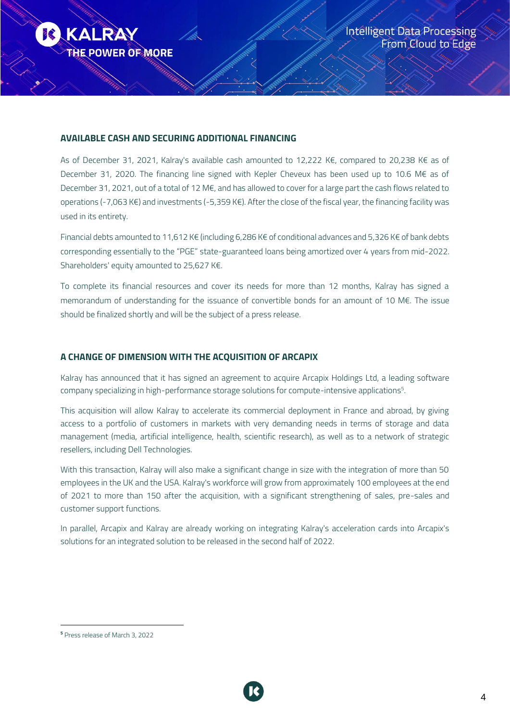

#### **AVAILABLE CASH AND SECURING ADDITIONAL FINANCING**

As of December 31, 2021, Kalray's available cash amounted to 12,222 K€, compared to 20,238 K€ as of December 31, 2020. The financing line signed with Kepler Cheveux has been used up to 10.6 M€ as of December 31, 2021, out of a total of 12 M€, and has allowed to cover for a large part the cash flows related to operations (-7,063 K€) and investments (-5,359 K€). After the close of the fiscal year, the financing facility was used in its entirety.

Financial debts amounted to 11,612 K€ (including 6,286 K€ of conditional advances and 5,326 K€ of bank debts corresponding essentially to the "PGE" state-guaranteed loans being amortized over 4 years from mid-2022. Shareholders' equity amounted to 25,627 K€.

To complete its financial resources and cover its needs for more than 12 months, Kalray has signed a memorandum of understanding for the issuance of convertible bonds for an amount of 10 M€. The issue should be finalized shortly and will be the subject of a press release.

### **A CHANGE OF DIMENSION WITH THE ACQUISITION OF ARCAPIX**

Kalray has announced that it has signed an agreement to acquire Arcapix Holdings Ltd, a leading software company specializing in high-performance storage solutions for compute-intensive applications 5 .

This acquisition will allow Kalray to accelerate its commercial deployment in France and abroad, by giving access to a portfolio of customers in markets with very demanding needs in terms of storage and data management (media, artificial intelligence, health, scientific research), as well as to a network of strategic resellers, including Dell Technologies.

With this transaction, Kalray will also make a significant change in size with the integration of more than 50 employees in the UK and the USA. Kalray's workforce will grow from approximately 100 employees at the end of 2021 to more than 150 after the acquisition, with a significant strengthening of sales, pre-sales and customer support functions.

In parallel, Arcapix and Kalray are already working on integrating Kalray's acceleration cards into Arcapix's solutions for an integrated solution to be released in the second half of 2022.



<sup>5</sup> Press release of March 3, 2022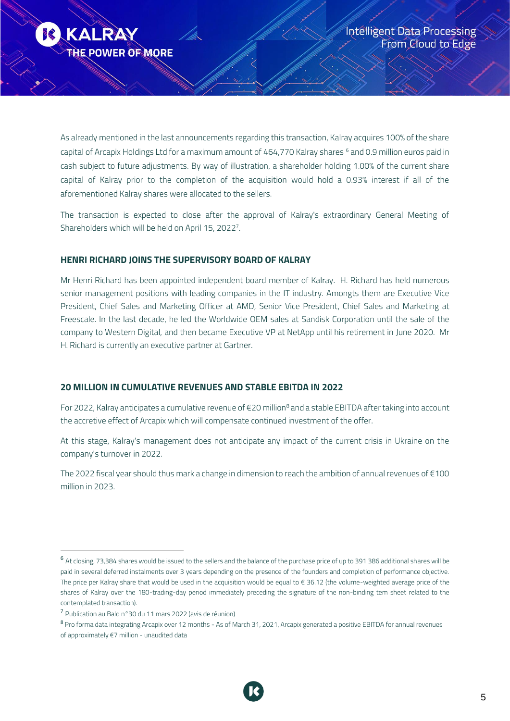

As already mentioned in the last announcements regarding this transaction, Kalray acquires 100% of the share capital of Arcapix Holdings Ltd for a maximum amount of 464,770 Kalray shares <sup>6</sup> and 0.9 million euros paid in cash subject to future adjustments. By way of illustration, a shareholder holding 1.00% of the current share capital of Kalray prior to the completion of the acquisition would hold a 0.93% interest if all of the aforementioned Kalray shares were allocated to the sellers.

The transaction is expected to close after the approval of Kalray's extraordinary General Meeting of Shareholders which will be held on April 15, 2022 7 .

## **HENRI RICHARD JOINS THE SUPERVISORY BOARD OF KALRAY**

Mr Henri Richard has been appointed independent board member of Kalray. H. Richard has held numerous senior management positions with leading companies in the IT industry. Amongts them are Executive Vice President, Chief Sales and Marketing Officer at AMD, Senior Vice President, Chief Sales and Marketing at Freescale. In the last decade, he led the Worldwide OEM sales at Sandisk Corporation until the sale of the company to Western Digital, and then became Executive VP at NetApp until his retirement in June 2020. Mr H. Richard is currently an executive partner at Gartner.

#### **20 MILLION IN CUMULATIVE REVENUES AND STABLE EBITDA IN 2022**

For 2022, Kalray anticipates a cumulative revenue of  $E$ 20 million<sup>8</sup> and a stable EBITDA after taking into account the accretive effect of Arcapix which will compensate continued investment of the offer.

At this stage, Kalray's management does not anticipate any impact of the current crisis in Ukraine on the company's turnover in 2022.

The 2022 fiscal year should thus mark a change in dimension to reach the ambition of annual revenues of €100 million in 2023.



<sup>6</sup> At closing, 73,384 shares would be issued to the sellers and the balance of the purchase price of up to 391 386 additional shares will be paid in several deferred instalments over 3 years depending on the presence of the founders and completion of performance objective. The price per Kalray share that would be used in the acquisition would be equal to € 36.12 (the volume-weighted average price of the shares of Kalray over the 180-trading-day period immediately preceding the signature of the non-binding tem sheet related to the contemplated transaction).

<sup>7</sup> Publication au Balo n°30 du 11 mars 2022 (avis de réunion)

<sup>8</sup> Pro forma data integrating Arcapix over 12 months - As of March 31, 2021, Arcapix generated a positive EBITDA for annual revenues of approximately €7 million - unaudited data